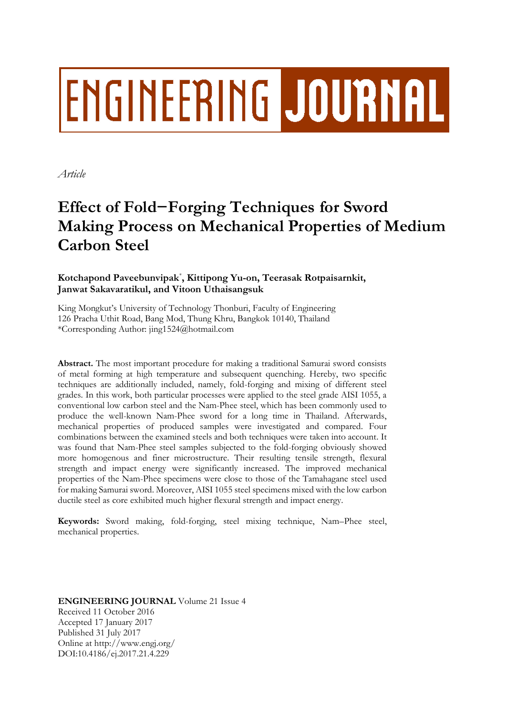# **ENGINEERING JOURNAL**

*Article*

# **Effect of Fold−Forging Techniques for Sword Making Process on Mechanical Properties of Medium Carbon Steel**

# **Kotchapond Paveebunvipak**\* **, Kittipong Yu-on, Teerasak Rotpaisarnkit, Janwat Sakavaratikul, and Vitoon Uthaisangsuk**

King Mongkut's University of Technology Thonburi, Faculty of Engineering 126 Pracha Uthit Road, Bang Mod, Thung Khru, Bangkok 10140, Thailand \*Corresponding Author: jing1524@hotmail.com

**Abstract.** The most important procedure for making a traditional Samurai sword consists of metal forming at high temperature and subsequent quenching. Hereby, two specific techniques are additionally included, namely, fold-forging and mixing of different steel grades. In this work, both particular processes were applied to the steel grade AISI 1055, a conventional low carbon steel and the Nam-Phee steel, which has been commonly used to produce the well-known Nam-Phee sword for a long time in Thailand. Afterwards, mechanical properties of produced samples were investigated and compared. Four combinations between the examined steels and both techniques were taken into account. It was found that Nam-Phee steel samples subjected to the fold-forging obviously showed more homogenous and finer microstructure. Their resulting tensile strength, flexural strength and impact energy were significantly increased. The improved mechanical properties of the Nam-Phee specimens were close to those of the Tamahagane steel used for making Samurai sword. Moreover, AISI 1055 steel specimens mixed with the low carbon ductile steel as core exhibited much higher flexural strength and impact energy.

**Keywords:** Sword making, fold-forging, steel mixing technique, Nam–Phee steel, mechanical properties.

**ENGINEERING JOURNAL** Volume 21 Issue 4 Received 11 October 2016 Accepted 17 January 2017 Published 31 July 2017 Online at http://www.engj.org/ DOI:10.4186/ej.2017.21.4.229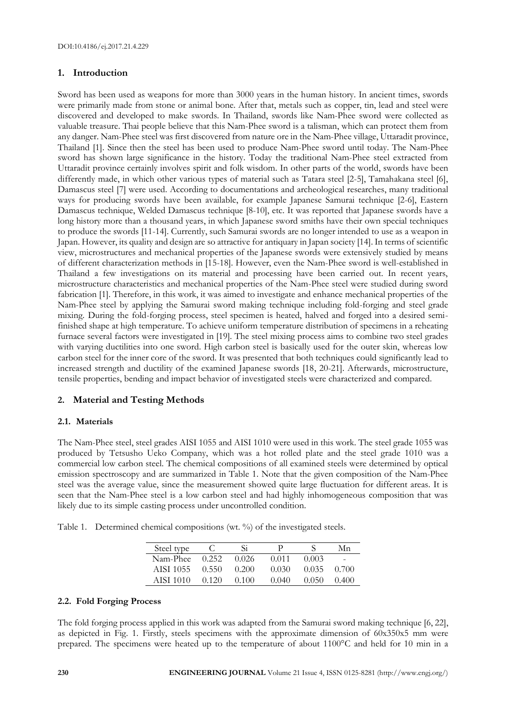# **1. Introduction**

Sword has been used as weapons for more than 3000 years in the human history. In ancient times, swords were primarily made from stone or animal bone. After that, metals such as copper, tin, lead and steel were discovered and developed to make swords. In Thailand, swords like Nam-Phee sword were collected as valuable treasure. Thai people believe that this Nam-Phee sword is a talisman, which can protect them from any danger. Nam-Phee steel was first discovered from nature ore in the Nam-Phee village, Uttaradit province, Thailand [1]. Since then the steel has been used to produce Nam-Phee sword until today. The Nam-Phee sword has shown large significance in the history. Today the traditional Nam-Phee steel extracted from Uttaradit province certainly involves spirit and folk wisdom. In other parts of the world, swords have been differently made, in which other various types of material such as Tatara steel [2-5], Tamahakana steel [6], Damascus steel [7] were used. According to documentations and archeological researches, many traditional ways for producing swords have been available, for example Japanese Samurai technique [2-6], Eastern Damascus technique, Welded Damascus technique [8-10], etc. It was reported that Japanese swords have a long history more than a thousand years, in which Japanese sword smiths have their own special techniques to produce the swords [11-14]. Currently, such Samurai swords are no longer intended to use as a weapon in Japan. However, its quality and design are so attractive for antiquary in Japan society [14]. In terms of scientific view, microstructures and mechanical properties of the Japanese swords were extensively studied by means of different characterization methods in [15-18]. However, even the Nam-Phee sword is well-established in Thailand a few investigations on its material and processing have been carried out. In recent years, microstructure characteristics and mechanical properties of the Nam-Phee steel were studied during sword fabrication [1]. Therefore, in this work, it was aimed to investigate and enhance mechanical properties of the Nam-Phee steel by applying the Samurai sword making technique including fold-forging and steel grade mixing. During the fold-forging process, steel specimen is heated, halved and forged into a desired semifinished shape at high temperature. To achieve uniform temperature distribution of specimens in a reheating furnace several factors were investigated in [19]. The steel mixing process aims to combine two steel grades with varying ductilities into one sword. High carbon steel is basically used for the outer skin, whereas low carbon steel for the inner core of the sword. It was presented that both techniques could significantly lead to increased strength and ductility of the examined Japanese swords [18, 20-21]. Afterwards, microstructure, tensile properties, bending and impact behavior of investigated steels were characterized and compared.

# **2. Material and Testing Methods**

## **2.1. Materials**

The Nam-Phee steel, steel grades AISI 1055 and AISI 1010 were used in this work. The steel grade 1055 was produced by Tetsusho Ueko Company, which was a hot rolled plate and the steel grade 1010 was a commercial low carbon steel. The chemical compositions of all examined steels were determined by optical emission spectroscopy and are summarized in Table 1. Note that the given composition of the Nam-Phee steel was the average value, since the measurement showed quite large fluctuation for different areas. It is seen that the Nam-Phee steel is a low carbon steel and had highly inhomogeneous composition that was likely due to its simple casting process under uncontrolled condition.

|  |  |  | Table 1. Determined chemical compositions (wt. %) of the investigated steels. |  |  |  |  |
|--|--|--|-------------------------------------------------------------------------------|--|--|--|--|
|--|--|--|-------------------------------------------------------------------------------|--|--|--|--|

| Steel type |       | Si    |       |       | Мn    |
|------------|-------|-------|-------|-------|-------|
| Nam-Phee   | 0.252 | 0.026 | 0.011 | 0.003 | -     |
| AISI 1055  | 0.550 | 0.200 | 0.030 | 0.035 | 0.700 |
| AISI 1010  | 0.120 | 0.100 | 0.040 | 0.050 | 0.400 |

#### **2.2. Fold Forging Process**

The fold forging process applied in this work was adapted from the Samurai sword making technique [6, 22], as depicted in Fig. 1. Firstly, steels specimens with the approximate dimension of 60x350x5 mm were prepared. The specimens were heated up to the temperature of about 1100°C and held for 10 min in a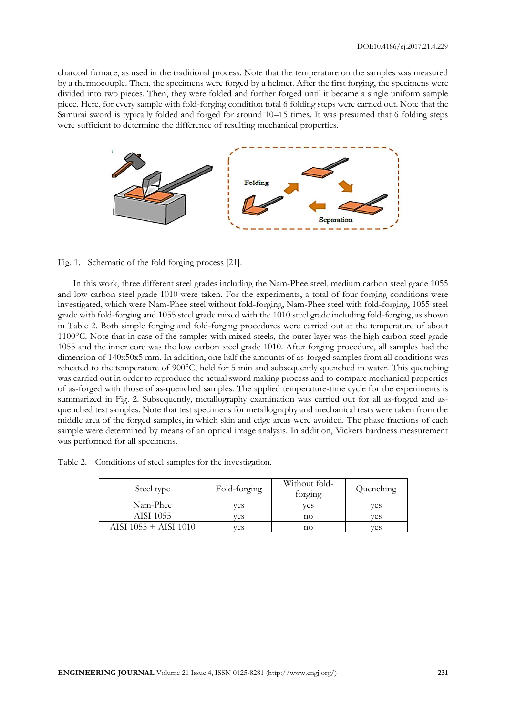charcoal furnace, as used in the traditional process. Note that the temperature on the samples was measured by a thermocouple. Then, the specimens were forged by a helmet. After the first forging, the specimens were divided into two pieces. Then, they were folded and further forged until it became a single uniform sample piece. Here, for every sample with fold-forging condition total 6 folding steps were carried out. Note that the Samurai sword is typically folded and forged for around 10–15 times. It was presumed that 6 folding steps were sufficient to determine the difference of resulting mechanical properties.



Fig. 1. Schematic of the fold forging process [21].

In this work, three different steel grades including the Nam-Phee steel, medium carbon steel grade 1055 and low carbon steel grade 1010 were taken. For the experiments, a total of four forging conditions were investigated, which were Nam-Phee steel without fold-forging, Nam-Phee steel with fold-forging, 1055 steel grade with fold-forging and 1055 steel grade mixed with the 1010 steel grade including fold-forging, as shown in Table 2. Both simple forging and fold-forging procedures were carried out at the temperature of about 1100°C. Note that in case of the samples with mixed steels, the outer layer was the high carbon steel grade 1055 and the inner core was the low carbon steel grade 1010. After forging procedure, all samples had the dimension of 140x50x5 mm. In addition, one half the amounts of as-forged samples from all conditions was reheated to the temperature of 900°C, held for 5 min and subsequently quenched in water. This quenching was carried out in order to reproduce the actual sword making process and to compare mechanical properties of as-forged with those of as-quenched samples. The applied temperature-time cycle for the experiments is summarized in Fig. 2. Subsequently, metallography examination was carried out for all as-forged and asquenched test samples. Note that test specimens for metallography and mechanical tests were taken from the middle area of the forged samples, in which skin and edge areas were avoided. The phase fractions of each sample were determined by means of an optical image analysis. In addition, Vickers hardness measurement was performed for all specimens.

|  |  | Table 2. Conditions of steel samples for the investigation. |
|--|--|-------------------------------------------------------------|
|  |  |                                                             |

| Steel type            | Fold-forging | Without fold-<br>forging | Quenching |
|-----------------------|--------------|--------------------------|-----------|
| Nam-Phee              | ves          | ves                      | ves       |
| AISI 1055             | ves          | no                       | ves       |
| AISI 1055 + AISI 1010 | ves          | no                       | ves       |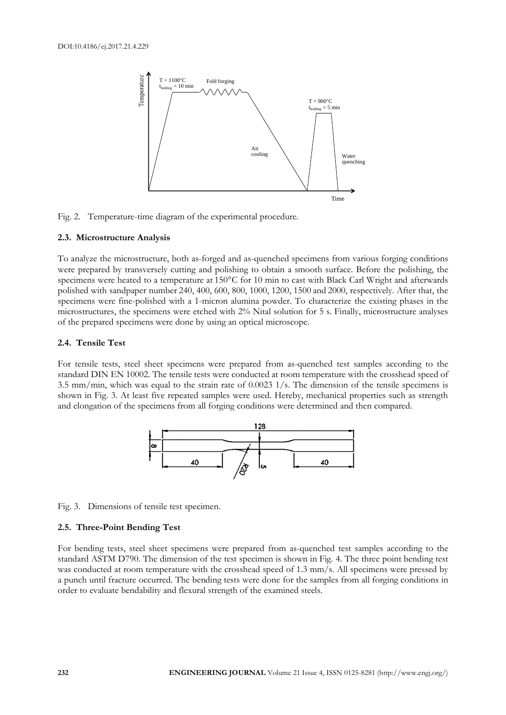

Fig. 2. Temperature-time diagram of the experimental procedure.

#### **2.3. Microstructure Analysis**

To analyze the microstructure, both as-forged and as-quenched specimens from various forging conditions were prepared by transversely cutting and polishing to obtain a smooth surface. Before the polishing, the specimens were heated to a temperature at 150°C for 10 min to cast with Black Carl Wright and afterwards polished with sandpaper number 240, 400, 600, 800, 1000, 1200, 1500 and 2000, respectively. After that, the specimens were fine-polished with a 1-micron alumina powder. To characterize the existing phases in the microstructures, the specimens were etched with 2% Nital solution for 5 s. Finally, microstructure analyses of the prepared specimens were done by using an optical microscope.

#### **2.4. Tensile Test**

For tensile tests, steel sheet specimens were prepared from as-quenched test samples according to the standard DIN EN 10002. The tensile tests were conducted at room temperature with the crosshead speed of 3.5 mm/min, which was equal to the strain rate of 0.0023 1/s. The dimension of the tensile specimens is shown in Fig. 3. At least five repeated samples were used. Hereby, mechanical properties such as strength and elongation of the specimens from all forging conditions were determined and then compared.



Fig. 3. Dimensions of tensile test specimen.

#### **2.5. Three-Point Bending Test**

For bending tests, steel sheet specimens were prepared from as-quenched test samples according to the standard ASTM D790. The dimension of the test specimen is shown in Fig. 4. The three point bending test was conducted at room temperature with the crosshead speed of 1.3 mm/s. All specimens were pressed by a punch until fracture occurred. The bending tests were done for the samples from all forging conditions in order to evaluate bendability and flexural strength of the examined steels.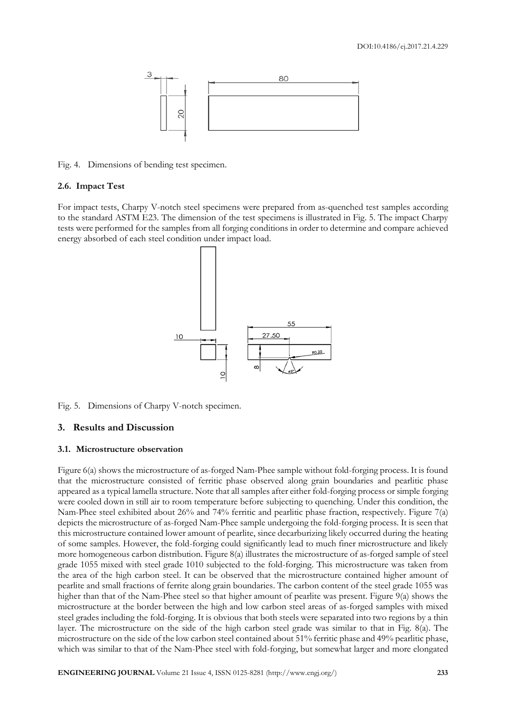

Fig. 4. Dimensions of bending test specimen.

#### **2.6. Impact Test**

For impact tests, Charpy V-notch steel specimens were prepared from as-quenched test samples according to the standard ASTM E23. The dimension of the test specimens is illustrated in Fig. 5. The impact Charpy tests were performed for the samples from all forging conditions in order to determine and compare achieved energy absorbed of each steel condition under impact load.



Fig. 5. Dimensions of Charpy V-notch specimen.

#### **3. Results and Discussion**

#### **3.1. Microstructure observation**

Figure 6(a) shows the microstructure of as-forged Nam-Phee sample without fold-forging process. It is found that the microstructure consisted of ferritic phase observed along grain boundaries and pearlitic phase appeared as a typical lamella structure. Note that all samples after either fold-forging process or simple forging were cooled down in still air to room temperature before subjecting to quenching. Under this condition, the Nam-Phee steel exhibited about 26% and 74% ferritic and pearlitic phase fraction, respectively. Figure 7(a) depicts the microstructure of as-forged Nam-Phee sample undergoing the fold-forging process. It is seen that this microstructure contained lower amount of pearlite, since decarburizing likely occurred during the heating of some samples. However, the fold-forging could significantly lead to much finer microstructure and likely more homogeneous carbon distribution. Figure 8(a) illustrates the microstructure of as-forged sample of steel grade 1055 mixed with steel grade 1010 subjected to the fold-forging. This microstructure was taken from the area of the high carbon steel. It can be observed that the microstructure contained higher amount of pearlite and small fractions of ferrite along grain boundaries. The carbon content of the steel grade 1055 was higher than that of the Nam-Phee steel so that higher amount of pearlite was present. Figure 9(a) shows the microstructure at the border between the high and low carbon steel areas of as-forged samples with mixed steel grades including the fold-forging. It is obvious that both steels were separated into two regions by a thin layer. The microstructure on the side of the high carbon steel grade was similar to that in Fig. 8(a). The microstructure on the side of the low carbon steel contained about 51% ferritic phase and 49% pearlitic phase, which was similar to that of the Nam-Phee steel with fold-forging, but somewhat larger and more elongated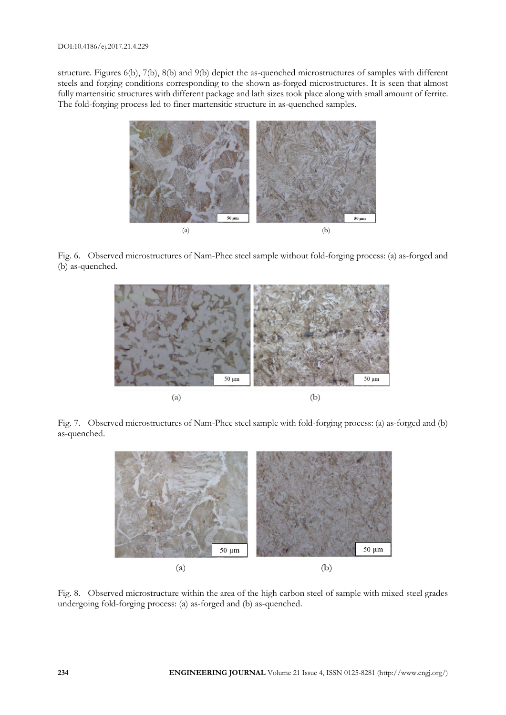structure. Figures 6(b), 7(b), 8(b) and 9(b) depict the as-quenched microstructures of samples with different steels and forging conditions corresponding to the shown as-forged microstructures. It is seen that almost fully martensitic structures with different package and lath sizes took place along with small amount of ferrite. The fold-forging process led to finer martensitic structure in as-quenched samples.



Fig. 6. Observed microstructures of Nam-Phee steel sample without fold-forging process: (a) as-forged and (b) as-quenched.



Fig. 7. Observed microstructures of Nam-Phee steel sample with fold-forging process: (a) as-forged and (b) as-quenched.



Fig. 8. Observed microstructure within the area of the high carbon steel of sample with mixed steel grades undergoing fold-forging process: (a) as-forged and (b) as-quenched.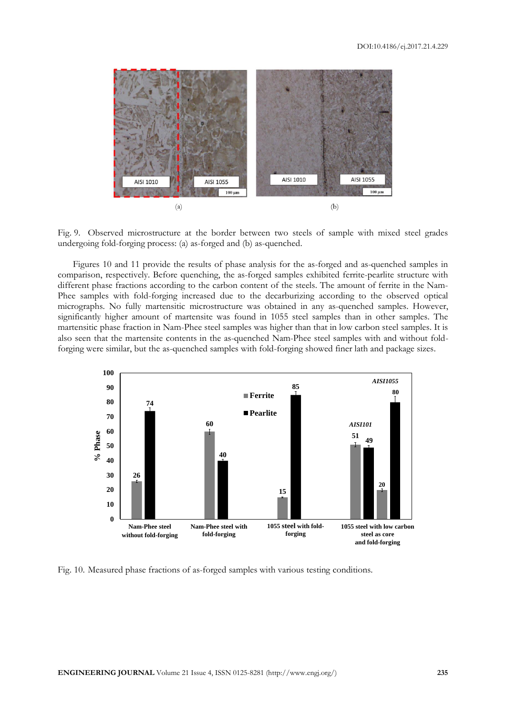

Fig. 9. Observed microstructure at the border between two steels of sample with mixed steel grades undergoing fold-forging process: (a) as-forged and (b) as-quenched.

Figures 10 and 11 provide the results of phase analysis for the as-forged and as-quenched samples in comparison, respectively. Before quenching, the as-forged samples exhibited ferrite-pearlite structure with different phase fractions according to the carbon content of the steels. The amount of ferrite in the Nam-Phee samples with fold-forging increased due to the decarburizing according to the observed optical micrographs. No fully martensitic microstructure was obtained in any as-quenched samples. However, significantly higher amount of martensite was found in 1055 steel samples than in other samples. The martensitic phase fraction in Nam-Phee steel samples was higher than that in low carbon steel samples. It is also seen that the martensite contents in the as-quenched Nam-Phee steel samples with and without foldforging were similar, but the as-quenched samples with fold-forging showed finer lath and package sizes.



Fig. 10. Measured phase fractions of as-forged samples with various testing conditions.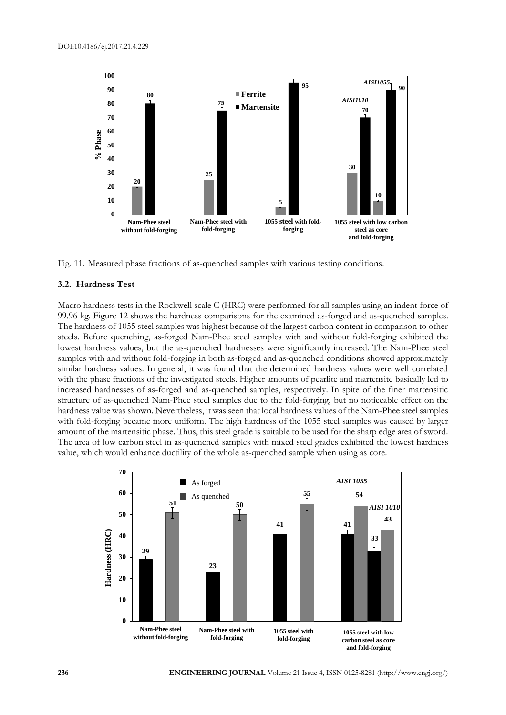

Fig. 11. Measured phase fractions of as-quenched samples with various testing conditions.

#### **3.2. Hardness Test**

Macro hardness tests in the Rockwell scale C (HRC) were performed for all samples using an indent force of 99.96 kg. Figure 12 shows the hardness comparisons for the examined as-forged and as-quenched samples. The hardness of 1055 steel samples was highest because of the largest carbon content in comparison to other steels. Before quenching, as-forged Nam-Phee steel samples with and without fold-forging exhibited the lowest hardness values, but the as-quenched hardnesses were significantly increased. The Nam-Phee steel samples with and without fold-forging in both as-forged and as-quenched conditions showed approximately similar hardness values. In general, it was found that the determined hardness values were well correlated with the phase fractions of the investigated steels. Higher amounts of pearlite and martensite basically led to increased hardnesses of as-forged and as-quenched samples, respectively. In spite of the finer martensitic structure of as-quenched Nam-Phee steel samples due to the fold-forging, but no noticeable effect on the hardness value was shown. Nevertheless, it was seen that local hardness values of the Nam-Phee steel samples with fold-forging became more uniform. The high hardness of the 1055 steel samples was caused by larger amount of the martensitic phase. Thus, this steel grade is suitable to be used for the sharp edge area of sword. The area of low carbon steel in as-quenched samples with mixed steel grades exhibited the lowest hardness value, which would enhance ductility of the whole as-quenched sample when using as core.

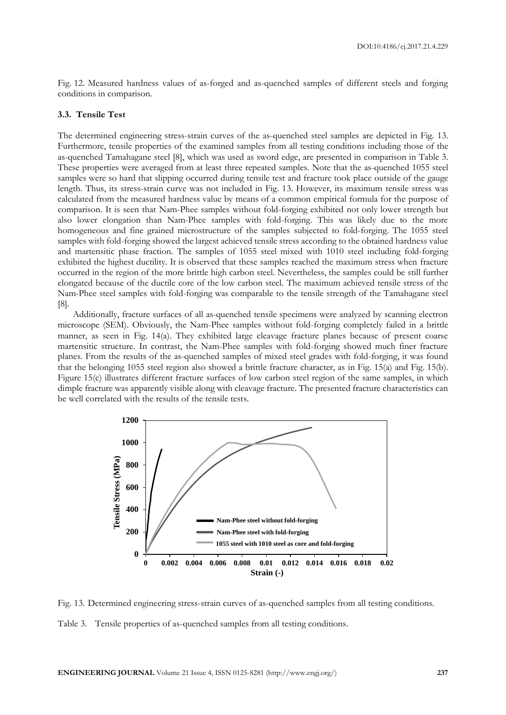Fig. 12. Measured hardness values of as-forged and as-quenched samples of different steels and forging conditions in comparison.

#### **3.3. Tensile Test**

The determined engineering stress-strain curves of the as-quenched steel samples are depicted in Fig. 13. Furthermore, tensile properties of the examined samples from all testing conditions including those of the as-quenched Tamahagane steel [8], which was used as sword edge, are presented in comparison in Table 3. These properties were averaged from at least three repeated samples. Note that the as-quenched 1055 steel samples were so hard that slipping occurred during tensile test and fracture took place outside of the gauge length. Thus, its stress-strain curve was not included in Fig. 13. However, its maximum tensile stress was calculated from the measured hardness value by means of a common empirical formula for the purpose of comparison. It is seen that Nam-Phee samples without fold-forging exhibited not only lower strength but also lower elongation than Nam-Phee samples with fold-forging. This was likely due to the more homogeneous and fine grained microstructure of the samples subjected to fold-forging. The 1055 steel samples with fold-forging showed the largest achieved tensile stress according to the obtained hardness value and martensitic phase fraction. The samples of 1055 steel mixed with 1010 steel including fold-forging exhibited the highest ductility. It is observed that these samples reached the maximum stress when fracture occurred in the region of the more brittle high carbon steel. Nevertheless, the samples could be still further elongated because of the ductile core of the low carbon steel. The maximum achieved tensile stress of the Nam-Phee steel samples with fold-forging was comparable to the tensile strength of the Tamahagane steel [8].

Additionally, fracture surfaces of all as-quenched tensile specimens were analyzed by scanning electron microscope (SEM). Obviously, the Nam-Phee samples without fold-forging completely failed in a brittle manner, as seen in Fig. 14(a). They exhibited large cleavage fracture planes because of present coarse martensitic structure. In contrast, the Nam-Phee samples with fold-forging showed much finer fracture planes. From the results of the as-quenched samples of mixed steel grades with fold-forging, it was found that the belonging 1055 steel region also showed a brittle fracture character, as in Fig. 15(a) and Fig. 15(b). Figure 15(c) illustrates different fracture surfaces of low carbon steel region of the same samples, in which dimple fracture was apparently visible along with cleavage fracture. The presented fracture characteristics can be well correlated with the results of the tensile tests.





Table 3. Tensile properties of as-quenched samples from all testing conditions.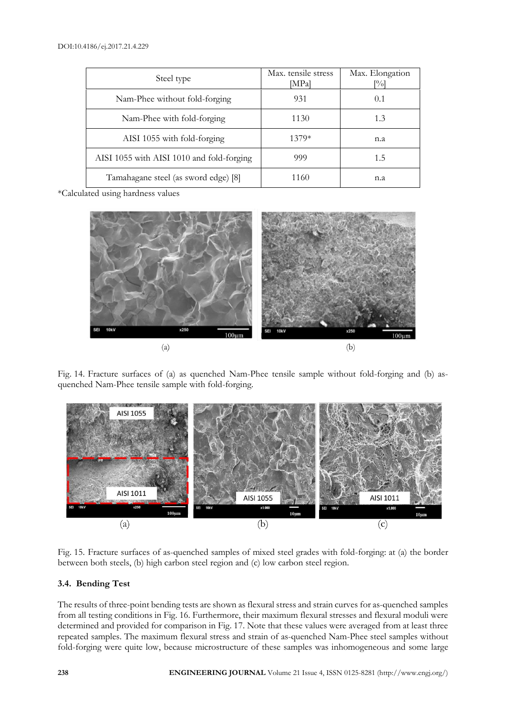| Steel type                                | Max. tensile stress<br>[MPa] | Max. Elongation<br>[%] |
|-------------------------------------------|------------------------------|------------------------|
| Nam-Phee without fold-forging             | 931                          | 0.1                    |
| Nam-Phee with fold-forging                | 1130                         | 1.3                    |
| AISI 1055 with fold-forging               | 1379*                        | n.a                    |
| AISI 1055 with AISI 1010 and fold-forging | 999                          | 1.5                    |
| Tamahagane steel (as sword edge) [8]      | 1160                         | n.a                    |

\*Calculated using hardness values



Fig. 14. Fracture surfaces of (a) as quenched Nam-Phee tensile sample without fold-forging and (b) asquenched Nam-Phee tensile sample with fold-forging.



Fig. 15. Fracture surfaces of as-quenched samples of mixed steel grades with fold-forging: at (a) the border between both steels, (b) high carbon steel region and (c) low carbon steel region.

## **3.4. Bending Test**

The results of three-point bending tests are shown as flexural stress and strain curves for as-quenched samples from all testing conditions in Fig. 16. Furthermore, their maximum flexural stresses and flexural moduli were determined and provided for comparison in Fig. 17. Note that these values were averaged from at least three repeated samples. The maximum flexural stress and strain of as-quenched Nam-Phee steel samples without fold-forging were quite low, because microstructure of these samples was inhomogeneous and some large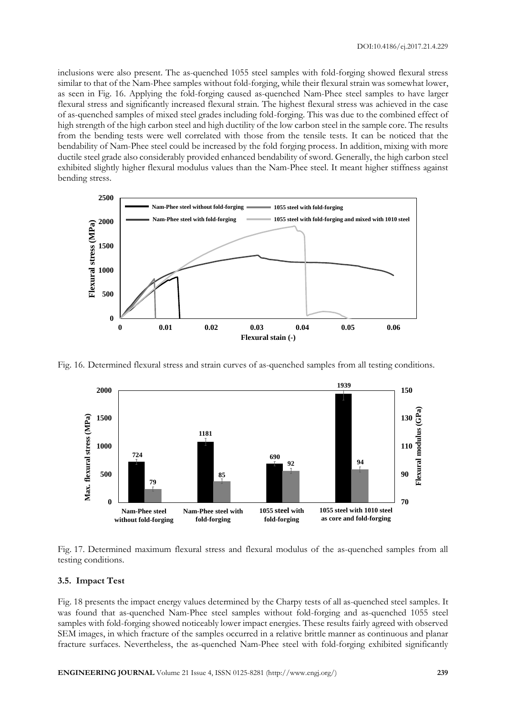inclusions were also present. The as-quenched 1055 steel samples with fold-forging showed flexural stress similar to that of the Nam-Phee samples without fold-forging, while their flexural strain was somewhat lower, as seen in Fig. 16. Applying the fold-forging caused as-quenched Nam-Phee steel samples to have larger flexural stress and significantly increased flexural strain. The highest flexural stress was achieved in the case of as-quenched samples of mixed steel grades including fold-forging. This was due to the combined effect of high strength of the high carbon steel and high ductility of the low carbon steel in the sample core. The results from the bending tests were well correlated with those from the tensile tests. It can be noticed that the bendability of Nam-Phee steel could be increased by the fold forging process. In addition, mixing with more ductile steel grade also considerably provided enhanced bendability of sword. Generally, the high carbon steel exhibited slightly higher flexural modulus values than the Nam-Phee steel. It meant higher stiffness against bending stress.



Fig. 16. Determined flexural stress and strain curves of as-quenched samples from all testing conditions.



Fig. 17. Determined maximum flexural stress and flexural modulus of the as-quenched samples from all testing conditions.

#### **3.5. Impact Test**

Fig. 18 presents the impact energy values determined by the Charpy tests of all as-quenched steel samples. It was found that as-quenched Nam-Phee steel samples without fold-forging and as-quenched 1055 steel samples with fold-forging showed noticeably lower impact energies. These results fairly agreed with observed SEM images, in which fracture of the samples occurred in a relative brittle manner as continuous and planar fracture surfaces. Nevertheless, the as-quenched Nam-Phee steel with fold-forging exhibited significantly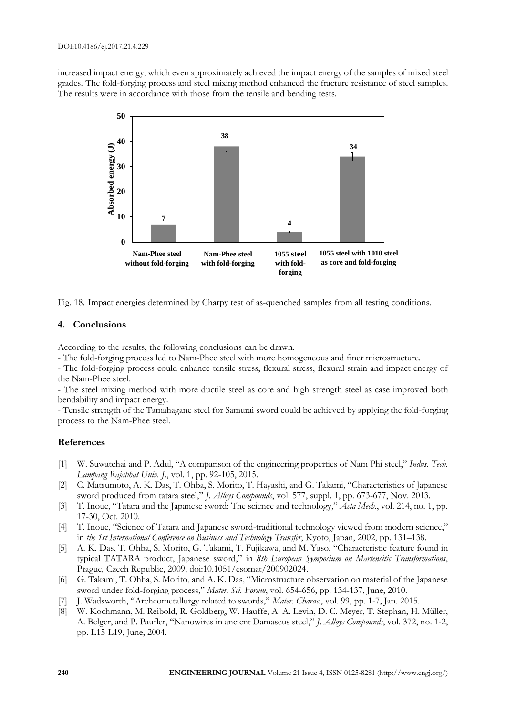increased impact energy, which even approximately achieved the impact energy of the samples of mixed steel grades. The fold-forging process and steel mixing method enhanced the fracture resistance of steel samples. The results were in accordance with those from the tensile and bending tests.



Fig. 18. Impact energies determined by Charpy test of as-quenched samples from all testing conditions.

# **4. Conclusions**

According to the results, the following conclusions can be drawn.

- The fold-forging process led to Nam-Phee steel with more homogeneous and finer microstructure.

- The fold-forging process could enhance tensile stress, flexural stress, flexural strain and impact energy of the Nam-Phee steel.

- The steel mixing method with more ductile steel as core and high strength steel as case improved both bendability and impact energy.

- Tensile strength of the Tamahagane steel for Samurai sword could be achieved by applying the fold-forging process to the Nam-Phee steel.

# **References**

- [1] W. Suwatchai and P. Adul, "A comparison of the engineering properties of Nam Phi steel," *Indus. Tech. Lampang Rajabhat Univ. J*., vol. 1, pp. 92-105, 2015.
- [2] C. Matsumoto, A. K. Das, T. Ohba, S. Morito, T. Hayashi, and G. Takami, "Characteristics of Japanese sword produced from tatara steel," *J. Alloys Compounds*, vol. 577, suppl. 1, pp. 673-677, Nov. 2013.
- [3] T. Inoue, "Tatara and the Japanese sword: The science and technology," *Acta Mech.*, vol. 214, no. 1, pp. 17-30, Oct. 2010.
- [4] T. Inoue, "Science of Tatara and Japanese sword-traditional technology viewed from modern science," in *the 1st International Conference on Business and Technology Transfer*, Kyoto, Japan, 2002, pp. 131–138.
- [5] A. K. Das, T. Ohba, S. Morito, G. Takami, T. Fujikawa, and M. Yaso, "Characteristic feature found in typical TATARA product, Japanese sword," in *8th European Symposium on Martensitic Transformations*, Prague, Czech Republic, 2009, doi:10.1051/esomat/200902024.
- [6] G. Takami, T. Ohba, S. Morito, and A. K. Das, "Microstructure observation on material of the Japanese sword under fold-forging process," *Mater. Sci. Forum*, vol. 654-656, pp. 134-137, June, 2010.
- [7] J. Wadsworth, "Archeometallurgy related to swords," *Mater. Charac.*, vol. 99, pp. 1-7, Jan. 2015.
- [8] W. Kochmann, M. Reibold, R. Goldberg, W. Hauffe, A. A. Levin, D. C. Meyer, T. Stephan, H. Müller, A. Belger, and P. Paufler, "Nanowires in ancient Damascus steel," *J. Alloys Compounds*, vol. 372, no. 1-2, pp. L15-L19, June, 2004.